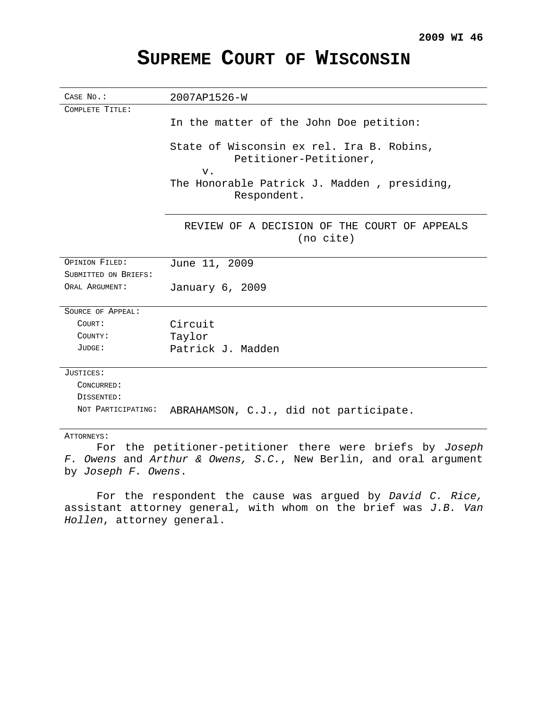# **SUPREME COURT OF WISCONSIN**

| CASE No.:            | 2007AP1526-W                                                                                                                               |
|----------------------|--------------------------------------------------------------------------------------------------------------------------------------------|
| COMPLETE TITLE:      |                                                                                                                                            |
|                      | In the matter of the John Doe petition:                                                                                                    |
|                      | State of Wisconsin ex rel. Ira B. Robins,<br>Petitioner-Petitioner,<br>$V$ .<br>The Honorable Patrick J. Madden, presiding,<br>Respondent. |
|                      | REVIEW OF A DECISION OF THE COURT OF APPEALS<br>(no cite)                                                                                  |
| OPINION FILED:       | June 11, 2009                                                                                                                              |
| SUBMITTED ON BRIEFS: |                                                                                                                                            |
| ORAL ARGUMENT:       | January 6, 2009                                                                                                                            |
| SOURCE OF APPEAL:    |                                                                                                                                            |
| COURT:               | Circuit                                                                                                                                    |
| COUNTY:              | Taylor                                                                                                                                     |
| JUDGE:               | Patrick J. Madden                                                                                                                          |
| JUSTICES:            |                                                                                                                                            |
| CONCURRED:           |                                                                                                                                            |
| DISSENTED:           |                                                                                                                                            |
| NOT PARTICIPATING:   | ABRAHAMSON, C.J., did not participate.                                                                                                     |
| ATTORNEYS:           |                                                                                                                                            |

For the petitioner-petitioner there were briefs by Joseph F. Owens and Arthur & Owens, S.C., New Berlin, and oral argument by Joseph F. Owens.

For the respondent the cause was argued by David C. Rice, assistant attorney general, with whom on the brief was  $J.B.$  Van Hollen, attorney general.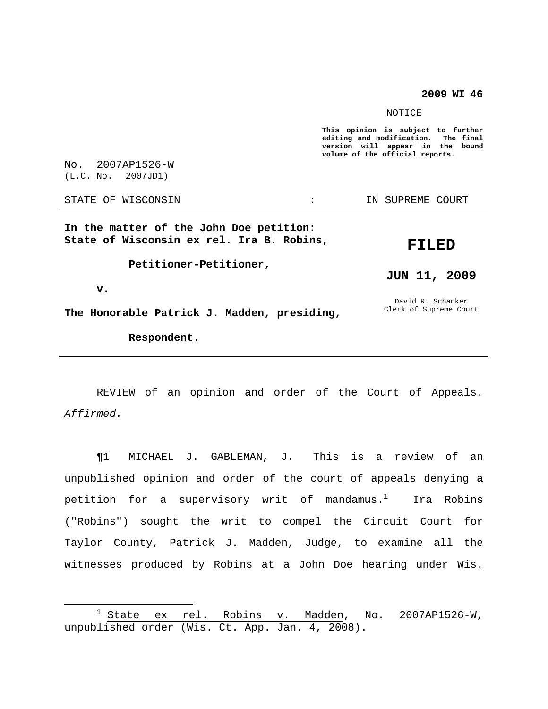**2009 WI 46**

#### NOTICE

**This opinion is subject to further editing and modification. The final version will appear in the bound volume of the official reports.**

No. 2007AP1526-W (L.C. No. 2007JD1)

STATE OF WISCONSIN THE STATE OF WISCONSIN STATE OF THE SUPREME COURT

**In the matter of the John Doe petition: State of Wisconsin ex rel. Ira B. Robins,**

**FILED**

**JUN 11, 2009**

David R. Schanker Clerk of Supreme Court

**Petitioner-Petitioner,**

**v.**

**The Honorable Patrick J. Madden, presiding,**

**Respondent.**

REVIEW of an opinion and order of the Court of Appeals. Affirmed.

¶1 MICHAEL J. GABLEMAN, J. This is a review of an unpublished opinion and order of the court of appeals denying a petition for a supervisory writ of mandamus. $^1$  . Ira Robins ("Robins") sought the writ to compel the Circuit Court for Taylor County, Patrick J. Madden, Judge, to examine all the witnesses produced by Robins at a John Doe hearing under Wis.

 $1$  State ex rel. Robins  $v.$  Madden, No. 2007AP1526-W, unpublished order (Wis. Ct. App. Jan. 4, 2008).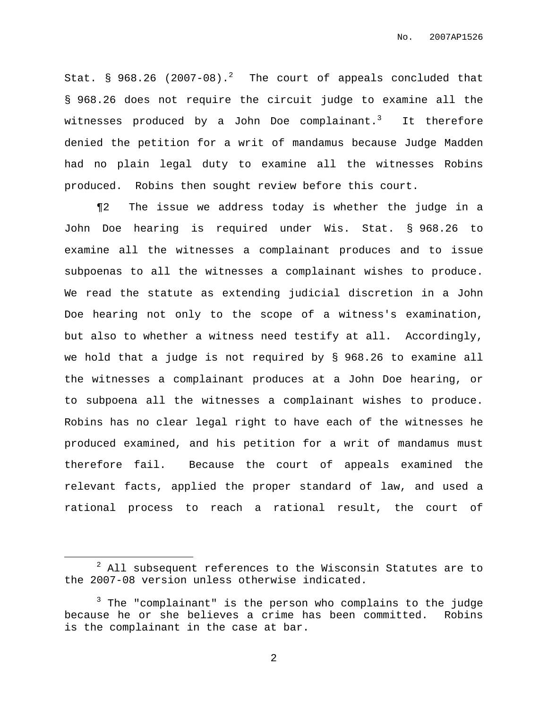Stat.  $\S$  968.26 (2007-08).<sup>2</sup> The court of appeals concluded that § 968.26 does not require the circuit judge to examine all the witnesses produced by a John Doe complainant. $^3$  It therefore denied the petition for a writ of mandamus because Judge Madden had no plain legal duty to examine all the witnesses Robins produced. Robins then sought review before this court.

¶2 The issue we address today is whether the judge in a John Doe hearing is required under Wis. Stat. § 968.26 to examine all the witnesses a complainant produces and to issue subpoenas to all the witnesses a complainant wishes to produce. We read the statute as extending judicial discretion in a John Doe hearing not only to the scope of a witness's examination, but also to whether a witness need testify at all. Accordingly, we hold that a judge is not required by § 968.26 to examine all the witnesses a complainant produces at a John Doe hearing, or to subpoena all the witnesses a complainant wishes to produce. Robins has no clear legal right to have each of the witnesses he produced examined, and his petition for a writ of mandamus must therefore fail. Because the court of appeals examined the relevant facts, applied the proper standard of law, and used a rational process to reach a rational result, the court of

<sup>2</sup> All subsequent references to the Wisconsin Statutes are to the 2007-08 version unless otherwise indicated.

 $3$  The "complainant" is the person who complains to the judge because he or she believes a crime has been committed. Robins is the complainant in the case at bar.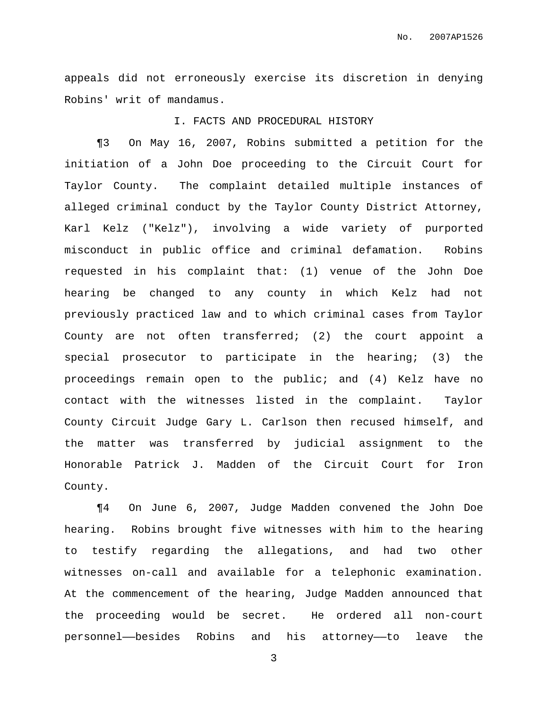appeals did not erroneously exercise its discretion in denying Robins' writ of mandamus.

## I. FACTS AND PROCEDURAL HISTORY

¶3 On May 16, 2007, Robins submitted a petition for the initiation of a John Doe proceeding to the Circuit Court for Taylor County. The complaint detailed multiple instances of alleged criminal conduct by the Taylor County District Attorney, Karl Kelz ("Kelz"), involving a wide variety of purported misconduct in public office and criminal defamation. Robins requested in his complaint that: (1) venue of the John Doe hearing be changed to any county in which Kelz had not previously practiced law and to which criminal cases from Taylor County are not often transferred; (2) the court appoint a special prosecutor to participate in the hearing; (3) the proceedings remain open to the public; and (4) Kelz have no contact with the witnesses listed in the complaint. Taylor County Circuit Judge Gary L. Carlson then recused himself, and the matter was transferred by judicial assignment to the Honorable Patrick J. Madden of the Circuit Court for Iron County.

¶4 On June 6, 2007, Judge Madden convened the John Doe hearing. Robins brought five witnesses with him to the hearing to testify regarding the allegations, and had two other witnesses on-call and available for a telephonic examination. At the commencement of the hearing, Judge Madden announced that the proceeding would be secret. He ordered all non-court personnel——besides Robins and his attorney——to leave the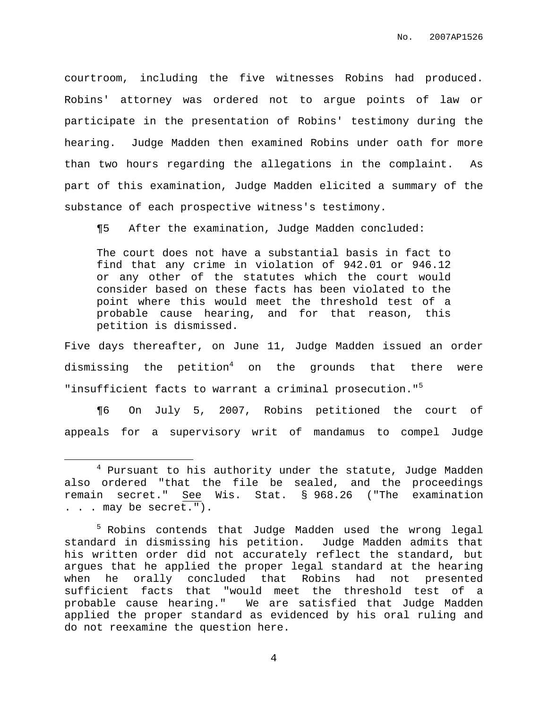courtroom, including the five witnesses Robins had produced. Robins' attorney was ordered not to argue points of law or participate in the presentation of Robins' testimony during the hearing. Judge Madden then examined Robins under oath for more than two hours regarding the allegations in the complaint. As part of this examination, Judge Madden elicited a summary of the substance of each prospective witness's testimony.

¶5 After the examination, Judge Madden concluded:

The court does not have a substantial basis in fact to find that any crime in violation of 942.01 or 946.12 or any other of the statutes which the court would consider based on these facts has been violated to the point where this would meet the threshold test of a probable cause hearing, and for that reason, this petition is dismissed.

Five days thereafter, on June 11, Judge Madden issued an order dismissing the petition $^4$  on the grounds that there were "insufficient facts to warrant a criminal prosecution."<sup>5</sup>

¶6 On July 5, 2007, Robins petitioned the court of appeals for a supervisory writ of mandamus to compel Judge

<sup>4</sup> Pursuant to his authority under the statute, Judge Madden also ordered "that the file be sealed, and the proceedings remain secret." See Wis. Stat. § 968.26 ("The examination . . . may be secret.").

<sup>&</sup>lt;sup>5</sup> Robins contends that Judge Madden used the wrong legal standard in dismissing his petition. Judge Madden admits that his written order did not accurately reflect the standard, but argues that he applied the proper legal standard at the hearing when he orally concluded that Robins had not presented sufficient facts that "would meet the threshold test of a probable cause hearing." We are satisfied that Judge Madden applied the proper standard as evidenced by his oral ruling and do not reexamine the question here.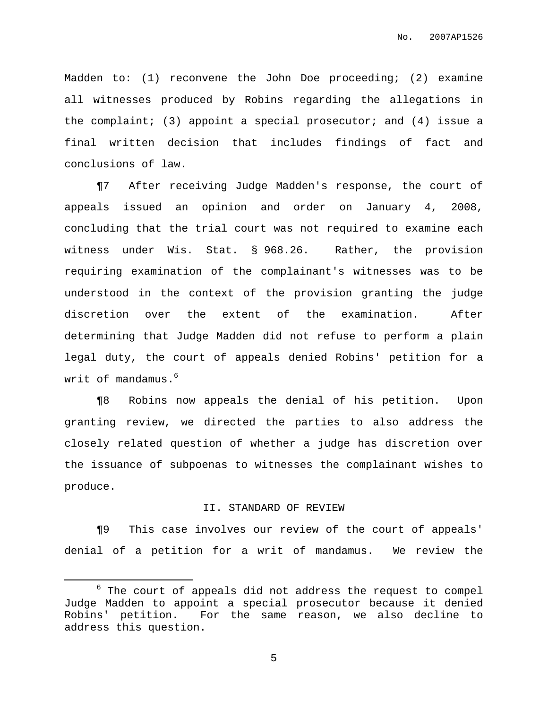Madden to: (1) reconvene the John Doe proceeding; (2) examine all witnesses produced by Robins regarding the allegations in the complaint; (3) appoint a special prosecutor; and (4) issue a final written decision that includes findings of fact and conclusions of law.

¶7 After receiving Judge Madden's response, the court of appeals issued an opinion and order on January 4, 2008, concluding that the trial court was not required to examine each witness under Wis. Stat. § 968.26. Rather, the provision requiring examination of the complainant's witnesses was to be understood in the context of the provision granting the judge discretion over the extent of the examination. After determining that Judge Madden did not refuse to perform a plain legal duty, the court of appeals denied Robins' petition for a writ of mandamus. $^6$ 

¶8 Robins now appeals the denial of his petition. Upon granting review, we directed the parties to also address the closely related question of whether a judge has discretion over the issuance of subpoenas to witnesses the complainant wishes to produce.

#### II. STANDARD OF REVIEW

¶9 This case involves our review of the court of appeals' denial of a petition for a writ of mandamus. We review the

 $6$  The court of appeals did not address the request to compel Judge Madden to appoint a special prosecutor because it denied Robins' petition. For the same reason, we also decline to address this question.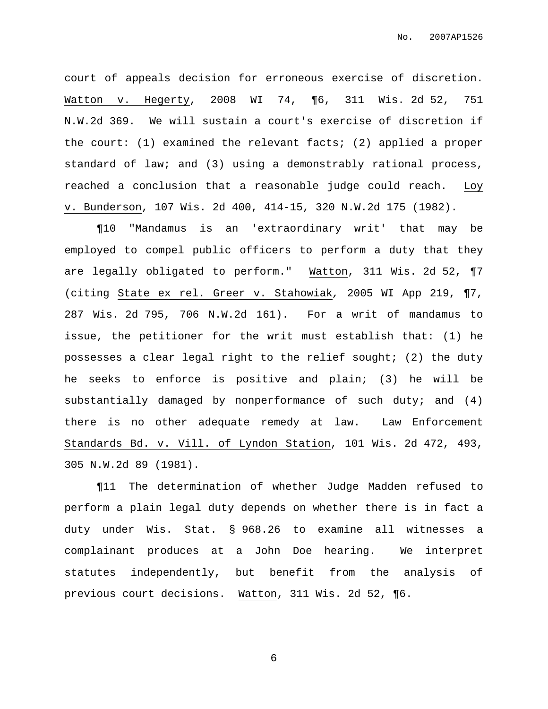court of appeals decision for erroneous exercise of discretion. Watton v. Hegerty, 2008 WI 74, ¶6, 311 Wis. 2d 52, 751 N.W.2d 369. We will sustain a court's exercise of discretion if the court: (1) examined the relevant facts; (2) applied a proper standard of law; and (3) using a demonstrably rational process, reached a conclusion that a reasonable judge could reach. Loy v. Bunderson, 107 Wis. 2d 400, 414-15, 320 N.W.2d 175 (1982).

¶10 "Mandamus is an 'extraordinary writ' that may be employed to compel public officers to perform a duty that they are legally obligated to perform." Watton, 311 Wis. 2d 52, ¶7 (citing State ex rel. Greer v. Stahowiak, 2005 WI App 219, ¶7, 287 Wis. 2d 795, 706 N.W.2d 161). For a writ of mandamus to issue, the petitioner for the writ must establish that: (1) he possesses a clear legal right to the relief sought; (2) the duty he seeks to enforce is positive and plain; (3) he will be substantially damaged by nonperformance of such duty; and  $(4)$ there is no other adequate remedy at law. Law Enforcement Standards Bd. v. Vill. of Lyndon Station, 101 Wis. 2d 472, 493, 305 N.W.2d 89 (1981).

¶11 The determination of whether Judge Madden refused to perform a plain legal duty depends on whether there is in fact a duty under Wis. Stat. § 968.26 to examine all witnesses a complainant produces at a John Doe hearing. We interpret statutes independently, but benefit from the analysis of previous court decisions. Watton, 311 Wis. 2d 52, ¶6.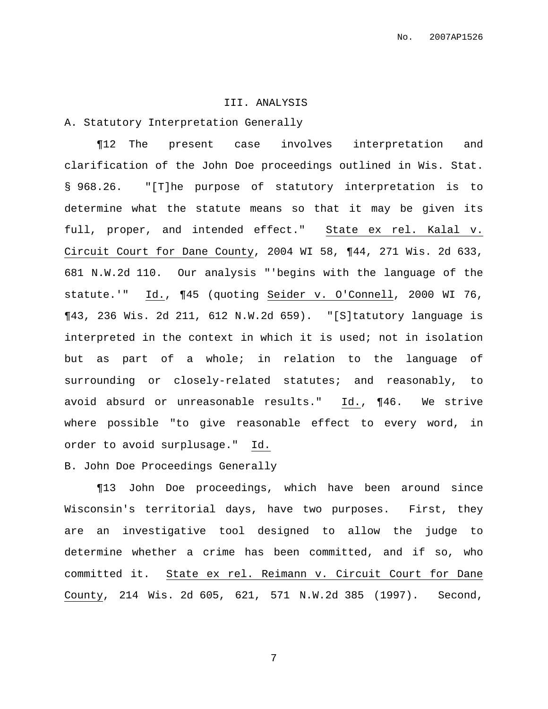### III. ANALYSIS

A. Statutory Interpretation Generally

¶12 The present case involves interpretation and clarification of the John Doe proceedings outlined in Wis. Stat. § 968.26. "[T]he purpose of statutory interpretation is to determine what the statute means so that it may be given its full, proper, and intended effect." State ex rel. Kalal v. Circuit Court for Dane County, 2004 WI 58, ¶44, 271 Wis. 2d 633, 681 N.W.2d 110. Our analysis "'begins with the language of the statute.'" Id., ¶45 (quoting Seider v. O'Connell, 2000 WI 76, ¶43, 236 Wis. 2d 211, 612 N.W.2d 659). "[S]tatutory language is interpreted in the context in which it is used; not in isolation but as part of a whole; in relation to the language of surrounding or closely-related statutes; and reasonably, to avoid absurd or unreasonable results." Id., ¶46. We strive where possible "to give reasonable effect to every word, in order to avoid surplusage." Id.

## B. John Doe Proceedings Generally

¶13 John Doe proceedings, which have been around since Wisconsin's territorial days, have two purposes. First, they are an investigative tool designed to allow the judge to determine whether a crime has been committed, and if so, who committed it. State ex rel. Reimann v. Circuit Court for Dane County, 214 Wis. 2d 605, 621, 571 N.W.2d 385 (1997). Second,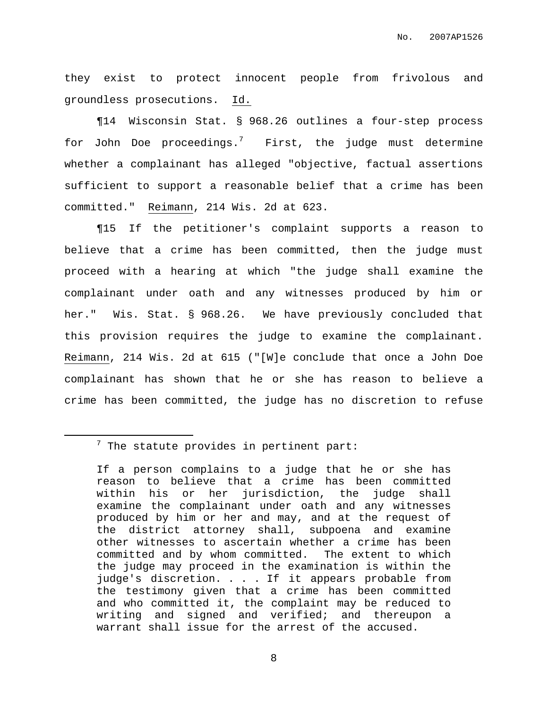they exist to protect innocent people from frivolous and groundless prosecutions. Id.

¶14 Wisconsin Stat. § 968.26 outlines a four-step process for John Doe proceedings.<sup>7</sup> First, the judge must determine whether a complainant has alleged "objective, factual assertions sufficient to support a reasonable belief that a crime has been committed." Reimann, 214 Wis. 2d at 623.

¶15 If the petitioner's complaint supports a reason to believe that a crime has been committed, then the judge must proceed with a hearing at which "the judge shall examine the complainant under oath and any witnesses produced by him or her." Wis. Stat. § 968.26. We have previously concluded that this provision requires the judge to examine the complainant. Reimann, 214 Wis. 2d at 615 ("[W]e conclude that once a John Doe complainant has shown that he or she has reason to believe a crime has been committed, the judge has no discretion to refuse

 $7$  The statute provides in pertinent part:

If a person complains to a judge that he or she has reason to believe that a crime has been committed within his or her jurisdiction, the judge shall examine the complainant under oath and any witnesses produced by him or her and may, and at the request of the district attorney shall, subpoena and examine other witnesses to ascertain whether a crime has been committed and by whom committed. The extent to which the judge may proceed in the examination is within the judge's discretion. . . . If it appears probable from the testimony given that a crime has been committed and who committed it, the complaint may be reduced to writing and signed and verified; and thereupon a warrant shall issue for the arrest of the accused.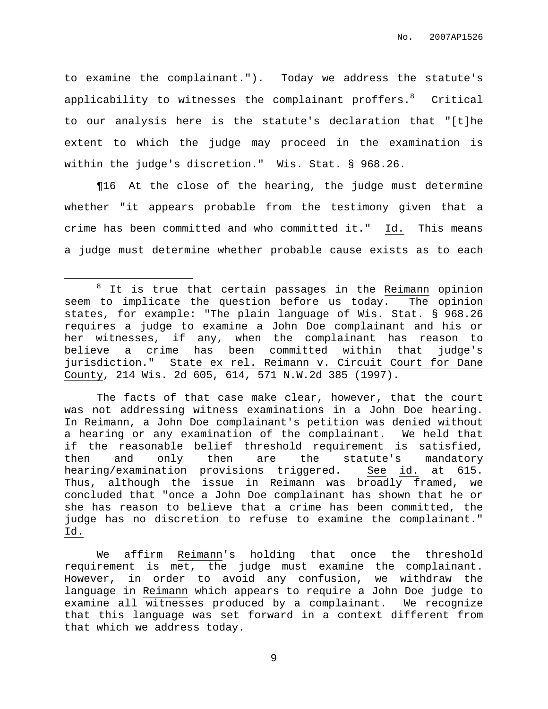to examine the complainant."). Today we address the statute's applicability to witnesses the complainant proffers. $^8$   $\,$  Critical  $\,$ to our analysis here is the statute's declaration that "[t]he extent to which the judge may proceed in the examination is within the judge's discretion." Wis. Stat. § 968.26.

¶16 At the close of the hearing, the judge must determine whether "it appears probable from the testimony given that a crime has been committed and who committed it." Id. This means a judge must determine whether probable cause exists as to each

The facts of that case make clear, however, that the court was not addressing witness examinations in a John Doe hearing. In Reimann, a John Doe complainant's petition was denied without a hearing or any examination of the complainant. We held that if the reasonable belief threshold requirement is satisfied, then and only then are the statute's mandatory hearing/examination provisions triggered. See id. at 615. Thus, although the issue in Reimann was broadly framed, we concluded that "once a John Doe complainant has shown that he or she has reason to believe that a crime has been committed, the judge has no discretion to refuse to examine the complainant." Id.

We affirm Reimann's holding that once the threshold requirement is met, the judge must examine the complainant. However, in order to avoid any confusion, we withdraw the language in Reimann which appears to require a John Doe judge to examine all witnesses produced by a complainant. We recognize that this language was set forward in a context different from that which we address today.

<sup>&</sup>lt;sup>8</sup> It is true that certain passages in the Reimann opinion seem to implicate the question before us today. The opinion states, for example: "The plain language of Wis. Stat. § 968.26 requires a judge to examine a John Doe complainant and his or her witnesses, if any, when the complainant has reason to believe a crime has been committed within that judge's jurisdiction." State ex rel. Reimann v. Circuit Court for Dane County, 214 Wis. 2d 605, 614, 571 N.W.2d 385 (1997).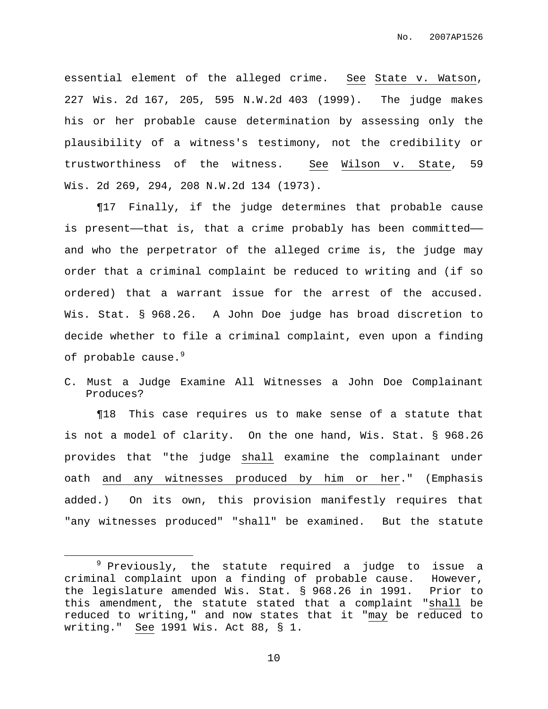essential element of the alleged crime. See State v. Watson, 227 Wis. 2d 167, 205, 595 N.W.2d 403 (1999). The judge makes his or her probable cause determination by assessing only the plausibility of a witness's testimony, not the credibility or trustworthiness of the witness. See Wilson v. State, 59 Wis. 2d 269, 294, 208 N.W.2d 134 (1973).

¶17 Finally, if the judge determines that probable cause is present—that is, that a crime probably has been committed and who the perpetrator of the alleged crime is, the judge may order that a criminal complaint be reduced to writing and (if so ordered) that a warrant issue for the arrest of the accused. Wis. Stat. § 968.26. A John Doe judge has broad discretion to decide whether to file a criminal complaint, even upon a finding of probable cause. 9

C. Must a Judge Examine All Witnesses a John Doe Complainant Produces?

¶18 This case requires us to make sense of a statute that is not a model of clarity. On the one hand, Wis. Stat. § 968.26 provides that "the judge shall examine the complainant under oath and any witnesses produced by him or her." (Emphasis added.) On its own, this provision manifestly requires that "any witnesses produced" "shall" be examined. But the statute

 $9$  Previously, the statute required a judge to issue a criminal complaint upon a finding of probable cause. However, the legislature amended Wis. Stat. § 968.26 in 1991. Prior to this amendment, the statute stated that a complaint "shall be reduced to writing," and now states that it "may be reduced to writing." See 1991 Wis. Act 88, § 1.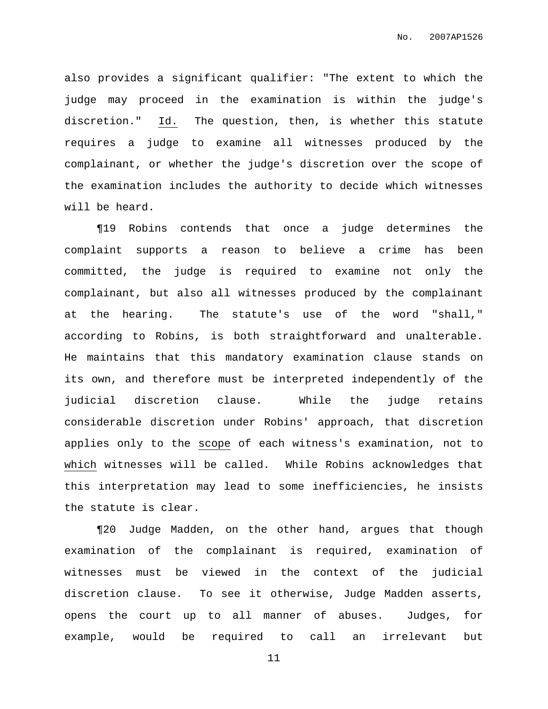also provides a significant qualifier: "The extent to which the judge may proceed in the examination is within the judge's discretion." Id. The question, then, is whether this statute requires a judge to examine all witnesses produced by the complainant, or whether the judge's discretion over the scope of the examination includes the authority to decide which witnesses will be heard.

¶19 Robins contends that once a judge determines the complaint supports a reason to believe a crime has been committed, the judge is required to examine not only the complainant, but also all witnesses produced by the complainant at the hearing. The statute's use of the word "shall," according to Robins, is both straightforward and unalterable. He maintains that this mandatory examination clause stands on its own, and therefore must be interpreted independently of the judicial discretion clause. While the judge retains considerable discretion under Robins' approach, that discretion applies only to the scope of each witness's examination, not to which witnesses will be called. While Robins acknowledges that this interpretation may lead to some inefficiencies, he insists the statute is clear.

¶20 Judge Madden, on the other hand, argues that though examination of the complainant is required, examination of witnesses must be viewed in the context of the judicial discretion clause. To see it otherwise, Judge Madden asserts, opens the court up to all manner of abuses. Judges, for example, would be required to call an irrelevant but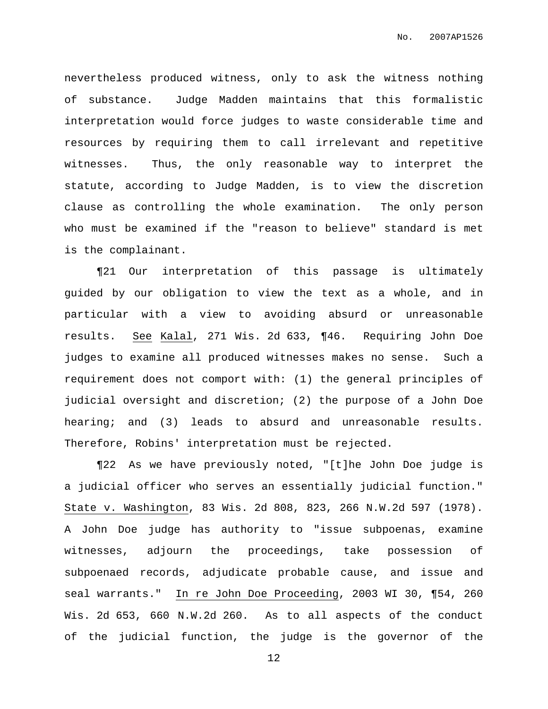nevertheless produced witness, only to ask the witness nothing of substance. Judge Madden maintains that this formalistic interpretation would force judges to waste considerable time and resources by requiring them to call irrelevant and repetitive witnesses. Thus, the only reasonable way to interpret the statute, according to Judge Madden, is to view the discretion clause as controlling the whole examination. The only person who must be examined if the "reason to believe" standard is met is the complainant.

¶21 Our interpretation of this passage is ultimately guided by our obligation to view the text as a whole, and in particular with a view to avoiding absurd or unreasonable results. See Kalal, 271 Wis. 2d 633, ¶46. Requiring John Doe judges to examine all produced witnesses makes no sense. Such a requirement does not comport with: (1) the general principles of judicial oversight and discretion; (2) the purpose of a John Doe hearing; and (3) leads to absurd and unreasonable results. Therefore, Robins' interpretation must be rejected.

¶22 As we have previously noted, "[t]he John Doe judge is a judicial officer who serves an essentially judicial function." State v. Washington, 83 Wis. 2d 808, 823, 266 N.W.2d 597 (1978). A John Doe judge has authority to "issue subpoenas, examine witnesses, adjourn the proceedings, take possession of subpoenaed records, adjudicate probable cause, and issue and seal warrants." In re John Doe Proceeding, 2003 WI 30, ¶54, 260 Wis. 2d 653, 660 N.W.2d 260. As to all aspects of the conduct of the judicial function, the judge is the governor of the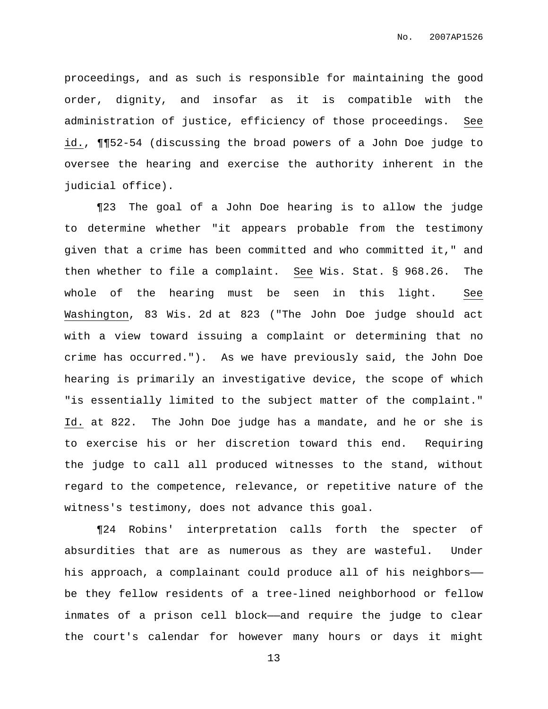proceedings, and as such is responsible for maintaining the good order, dignity, and insofar as it is compatible with the administration of justice, efficiency of those proceedings. See id., ¶¶52-54 (discussing the broad powers of a John Doe judge to oversee the hearing and exercise the authority inherent in the judicial office).

¶23 The goal of a John Doe hearing is to allow the judge to determine whether "it appears probable from the testimony given that a crime has been committed and who committed it," and then whether to file a complaint. See Wis. Stat. § 968.26. The whole of the hearing must be seen in this light. See Washington, 83 Wis. 2d at 823 ("The John Doe judge should act with a view toward issuing a complaint or determining that no crime has occurred."). As we have previously said, the John Doe hearing is primarily an investigative device, the scope of which "is essentially limited to the subject matter of the complaint." Id. at 822. The John Doe judge has a mandate, and he or she is to exercise his or her discretion toward this end. Requiring the judge to call all produced witnesses to the stand, without regard to the competence, relevance, or repetitive nature of the witness's testimony, does not advance this goal.

¶24 Robins' interpretation calls forth the specter of absurdities that are as numerous as they are wasteful. Under his approach, a complainant could produce all of his neighbors— be they fellow residents of a tree-lined neighborhood or fellow inmates of a prison cell block—and require the judge to clear the court's calendar for however many hours or days it might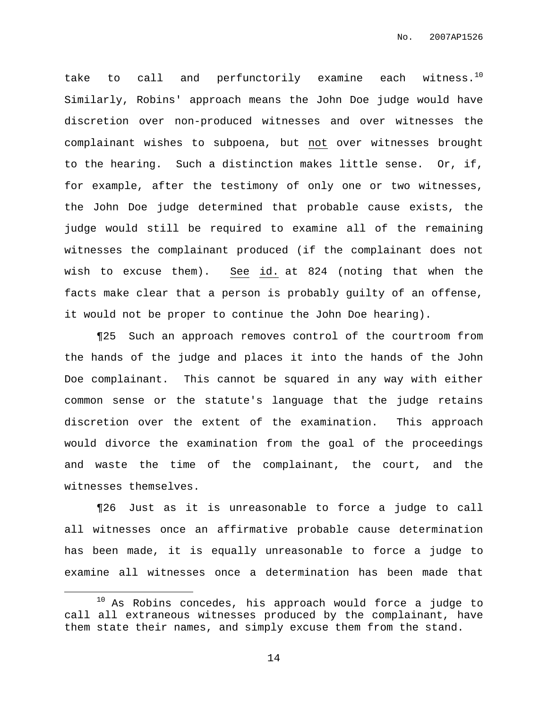take to call and perfunctorily examine each witness. $^{10}$ Similarly, Robins' approach means the John Doe judge would have discretion over non-produced witnesses and over witnesses the complainant wishes to subpoena, but not over witnesses brought to the hearing. Such a distinction makes little sense. Or, if, for example, after the testimony of only one or two witnesses, the John Doe judge determined that probable cause exists, the judge would still be required to examine all of the remaining witnesses the complainant produced (if the complainant does not wish to excuse them). See id. at 824 (noting that when the facts make clear that a person is probably guilty of an offense, it would not be proper to continue the John Doe hearing).

¶25 Such an approach removes control of the courtroom from the hands of the judge and places it into the hands of the John Doe complainant. This cannot be squared in any way with either common sense or the statute's language that the judge retains discretion over the extent of the examination. This approach would divorce the examination from the goal of the proceedings and waste the time of the complainant, the court, and the witnesses themselves.

¶26 Just as it is unreasonable to force a judge to call all witnesses once an affirmative probable cause determination has been made, it is equally unreasonable to force a judge to examine all witnesses once a determination has been made that

 $10$  As Robins concedes, his approach would force a judge to call all extraneous witnesses produced by the complainant, have them state their names, and simply excuse them from the stand.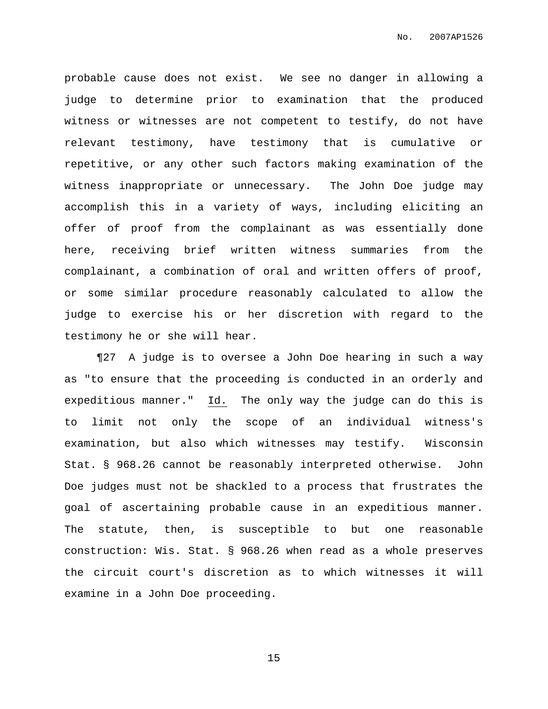probable cause does not exist. We see no danger in allowing a judge to determine prior to examination that the produced witness or witnesses are not competent to testify, do not have relevant testimony, have testimony that is cumulative or repetitive, or any other such factors making examination of the witness inappropriate or unnecessary. The John Doe judge may accomplish this in a variety of ways, including eliciting an offer of proof from the complainant as was essentially done here, receiving brief written witness summaries from the complainant, a combination of oral and written offers of proof, or some similar procedure reasonably calculated to allow the judge to exercise his or her discretion with regard to the testimony he or she will hear.

¶27 A judge is to oversee a John Doe hearing in such a way as "to ensure that the proceeding is conducted in an orderly and expeditious manner." Id. The only way the judge can do this is to limit not only the scope of an individual witness's examination, but also which witnesses may testify. Wisconsin Stat. § 968.26 cannot be reasonably interpreted otherwise. John Doe judges must not be shackled to a process that frustrates the goal of ascertaining probable cause in an expeditious manner. The statute, then, is susceptible to but one reasonable construction: Wis. Stat. § 968.26 when read as a whole preserves the circuit court's discretion as to which witnesses it will examine in a John Doe proceeding.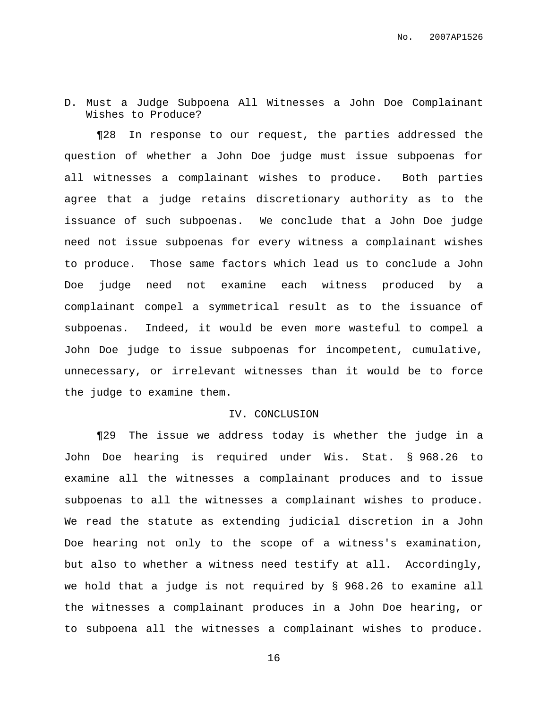D. Must a Judge Subpoena All Witnesses a John Doe Complainant Wishes to Produce?

¶28 In response to our request, the parties addressed the question of whether a John Doe judge must issue subpoenas for all witnesses a complainant wishes to produce. Both parties agree that a judge retains discretionary authority as to the issuance of such subpoenas. We conclude that a John Doe judge need not issue subpoenas for every witness a complainant wishes to produce. Those same factors which lead us to conclude a John Doe judge need not examine each witness produced by a complainant compel a symmetrical result as to the issuance of subpoenas. Indeed, it would be even more wasteful to compel a John Doe judge to issue subpoenas for incompetent, cumulative, unnecessary, or irrelevant witnesses than it would be to force the judge to examine them.

#### IV. CONCLUSION

¶29 The issue we address today is whether the judge in a John Doe hearing is required under Wis. Stat. § 968.26 to examine all the witnesses a complainant produces and to issue subpoenas to all the witnesses a complainant wishes to produce. We read the statute as extending judicial discretion in a John Doe hearing not only to the scope of a witness's examination, but also to whether a witness need testify at all. Accordingly, we hold that a judge is not required by § 968.26 to examine all the witnesses a complainant produces in a John Doe hearing, or to subpoena all the witnesses a complainant wishes to produce.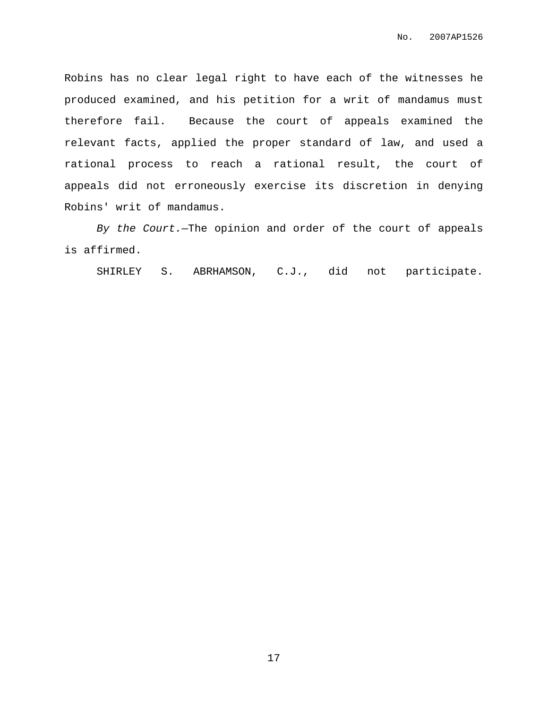Robins has no clear legal right to have each of the witnesses he produced examined, and his petition for a writ of mandamus must therefore fail. Because the court of appeals examined the relevant facts, applied the proper standard of law, and used a rational process to reach a rational result, the court of appeals did not erroneously exercise its discretion in denying Robins' writ of mandamus.

By the Court.—The opinion and order of the court of appeals is affirmed.

SHIRLEY S. ABRHAMSON, C.J., did not participate.